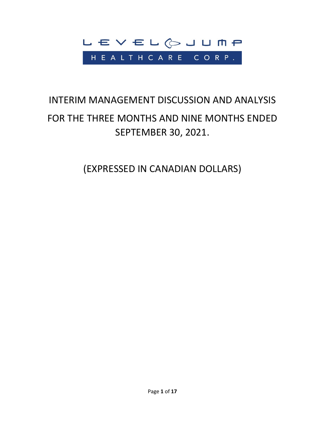

# INTERIM MANAGEMENT DISCUSSION AND ANALYSIS FOR THE THREE MONTHS AND NINE MONTHS ENDED SEPTEMBER 30, 2021.

(EXPRESSED IN CANADIAN DOLLARS)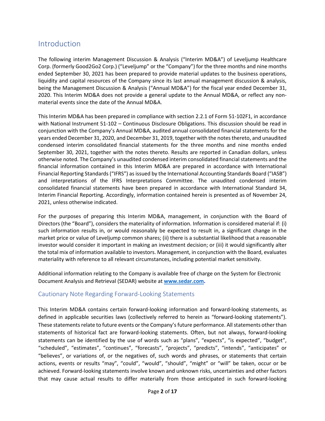# Introduction

The following interim Management Discussion & Analysis ("Interim MD&A") of Leveljump Healthcare Corp. (formerly Good2Go2 Corp.) ("Leveljump" or the "Company") for the three months and nine months ended September 30, 2021 has been prepared to provide material updates to the business operations, liquidity and capital resources of the Company since its last annual management discussion & analysis, being the Management Discussion & Analysis ("Annual MD&A") for the fiscal year ended December 31, 2020. This Interim MD&A does not provide a general update to the Annual MD&A, or reflect any nonmaterial events since the date of the Annual MD&A.

This Interim MD&A has been prepared in compliance with section 2.2.1 of Form 51-102F1, in accordance with National Instrument 51-102 – Continuous Disclosure Obligations. This discussion should be read in conjunction with the Company's Annual MD&A, audited annual consolidated financial statements for the years ended December 31, 2020, and December 31, 2019, together with the notes thereto, and unaudited condensed interim consolidated financial statements for the three months and nine months ended September 30, 2021, together with the notes thereto. Results are reported in Canadian dollars, unless otherwise noted. The Company's unaudited condensed interim consolidated financial statements and the financial information contained in this Interim MD&A are prepared in accordance with International Financial Reporting Standards ("IFRS") as issued by the International Accounting Standards Board ("IASB") and interpretations of the IFRS Interpretations Committee. The unaudited condensed interim consolidated financial statements have been prepared in accordance with International Standard 34, Interim Financial Reporting. Accordingly, information contained herein is presented as of November 24, 2021, unless otherwise indicated.

For the purposes of preparing this Interim MD&A, management, in conjunction with the Board of Directors (the "Board"), considers the materiality of information. Information is considered material if: (i) such information results in, or would reasonably be expected to result in, a significant change in the market price or value of Leveljump common shares; (ii) there is a substantial likelihood that a reasonable investor would consider it important in making an investment decision; or (iii) it would significantly alter the total mix of information available to investors. Management, in conjunction with the Board, evaluates materiality with reference to all relevant circumstances, including potential market sensitivity.

Additional information relating to the Company is available free of charge on the System for Electronic Document Analysis and Retrieval (SEDAR) website at **[www.sedar.com.](http://www.sedar.com/)**

# Cautionary Note Regarding Forward-Looking Statements

This Interim MD&A contains certain forward-looking information and forward-looking statements, as defined in applicable securities laws (collectively referred to herein as "forward-looking statements"). These statements relate to future events or the Company's future performance. All statements other than statements of historical fact are forward-looking statements. Often, but not always, forward-looking statements can be identified by the use of words such as "plans", "expects", "is expected", "budget", "scheduled", "estimates", "continues", "forecasts", "projects", "predicts", "intends", "anticipates" or "believes", or variations of, or the negatives of, such words and phrases, or statements that certain actions, events or results "may", "could", "would", "should", "might" or "will" be taken, occur or be achieved. Forward-looking statements involve known and unknown risks, uncertainties and other factors that may cause actual results to differ materially from those anticipated in such forward-looking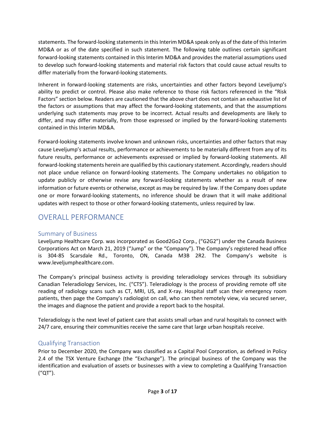statements. The forward-looking statements in this Interim MD&A speak only as of the date of this Interim MD&A or as of the date specified in such statement. The following table outlines certain significant forward-looking statements contained in this Interim MD&A and provides the material assumptions used to develop such forward-looking statements and material risk factors that could cause actual results to differ materially from the forward-looking statements.

Inherent in forward-looking statements are risks, uncertainties and other factors beyond Leveljump's ability to predict or control. Please also make reference to those risk factors referenced in the "Risk Factors" section below. Readers are cautioned that the above chart does not contain an exhaustive list of the factors or assumptions that may affect the forward-looking statements, and that the assumptions underlying such statements may prove to be incorrect. Actual results and developments are likely to differ, and may differ materially, from those expressed or implied by the forward-looking statements contained in this Interim MD&A.

Forward-looking statements involve known and unknown risks, uncertainties and other factors that may cause Leveljump's actual results, performance or achievements to be materially different from any of its future results, performance or achievements expressed or implied by forward-looking statements. All forward-looking statements herein are qualified by this cautionary statement. Accordingly, readers should not place undue reliance on forward-looking statements. The Company undertakes no obligation to update publicly or otherwise revise any forward-looking statements whether as a result of new information or future events or otherwise, except as may be required by law. If the Company does update one or more forward-looking statements, no inference should be drawn that it will make additional updates with respect to those or other forward-looking statements, unless required by law.

# OVERALL PERFORMANCE

# Summary of Business

Leveljump Healthcare Corp. was incorporated as Good2Go2 Corp., ("G2G2") under the Canada Business Corporations Act on March 21, 2019 ("Jump" or the "Company"). The Company's registered head office is 304-85 Scarsdale Rd., Toronto, ON, Canada M3B 2R2. The Company's website is www.leveljumphealthcare.com.

The Company's principal business activity is providing teleradiology services through its subsidiary Canadian Teleradiology Services, Inc. ("CTS"). Teleradiology is the process of providing remote off site reading of radiology scans such as CT, MRI, US, and X-ray. Hospital staff scan their emergency room patients, then page the Company's radiologist on call, who can then remotely view, via secured server, the images and diagnose the patient and provide a report back to the hospital.

Teleradiology is the next level of patient care that assists small urban and rural hospitals to connect with 24/7 care, ensuring their communities receive the same care that large urban hospitals receive.

# Qualifying Transaction

Prior to December 2020, the Company was classified as a Capital Pool Corporation, as defined in Policy 2.4 of the TSX Venture Exchange (the "Exchange"). The principal business of the Company was the identification and evaluation of assets or businesses with a view to completing a Qualifying Transaction ("QT").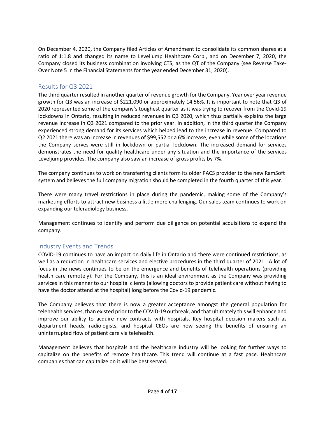On December 4, 2020, the Company filed Articles of Amendment to consolidate its common shares at a ratio of 1:1.8 and changed its name to Leveljump Healthcare Corp., and on December 7, 2020, the Company closed its business combination involving CTS, as the QT of the Company (see Reverse Take-Over Note 5 in the Financial Statements for the year ended December 31, 2020).

# Results for Q3 2021

The third quarter resulted in another quarter of revenue growth for the Company. Year over year revenue growth for Q3 was an increase of \$221,090 or approximately 14.56%. It is important to note that Q3 of 2020 represented some of the company's toughest quarter as it was trying to recover from the Covid-19 lockdowns in Ontario, resulting in reduced revenues in Q3 2020, which thus partially explains the large revenue increase in Q3 2021 compared to the prior year. In addition, in the third quarter the Company experienced strong demand for its services which helped lead to the increase in revenue. Compared to Q2 2021 there was an increase in revenues of \$99,552 or a 6% increase, even while some of the locations the Company serves were still in lockdown or partial lockdown. The increased demand for services demonstrates the need for quality healthcare under any situation and the importance of the services Leveljump provides. The company also saw an increase of gross profits by 7%.

The company continues to work on transferring clients form its older PACS provider to the new RamSoft system and believes the full company migration should be completed in the fourth quarter of this year.

There were many travel restrictions in place during the pandemic, making some of the Company's marketing efforts to attract new business a little more challenging. Our sales team continues to work on expanding our teleradiology business.

Management continues to identify and perform due diligence on potential acquisitions to expand the company.

# Industry Events and Trends

COVID-19 continues to have an impact on daily life in Ontario and there were continued restrictions, as well as a reduction in healthcare services and elective procedures in the third quarter of 2021. A lot of focus in the news continues to be on the emergence and benefits of telehealth operations (providing health care remotely). For the Company, this is an ideal environment as the Company was providing services in this manner to our hospital clients (allowing doctors to provide patient care without having to have the doctor attend at the hospital) long before the Covid-19 pandemic.

The Company believes that there is now a greater acceptance amongst the general population for telehealth services, than existed prior to the COVID-19 outbreak, and that ultimately this will enhance and improve our ability to acquire new contracts with hospitals. Key hospital decision makers such as department heads, radiologists, and hospital CEOs are now seeing the benefits of ensuring an uninterrupted flow of patient care via telehealth.

Management believes that hospitals and the healthcare industry will be looking for further ways to capitalize on the benefits of remote healthcare. This trend will continue at a fast pace. Healthcare companies that can capitalize on it will be best served.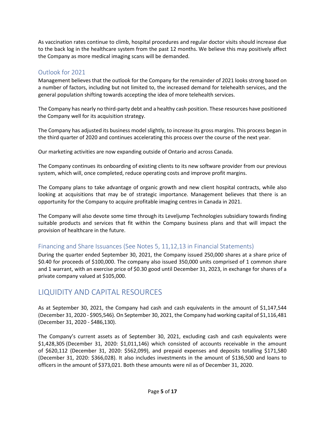As vaccination rates continue to climb, hospital procedures and regular doctor visits should increase due to the back log in the healthcare system from the past 12 months. We believe this may positively affect the Company as more medical imaging scans will be demanded.

### Outlook for 2021

Management believes that the outlook for the Company for the remainder of 2021 looks strong based on a number of factors, including but not limited to, the increased demand for telehealth services, and the general population shifting towards accepting the idea of more telehealth services.

The Company has nearly no third-party debt and a healthy cash position. These resources have positioned the Company well for its acquisition strategy.

The Company has adjusted its business model slightly, to increase its gross margins. This process began in the third quarter of 2020 and continues accelerating this process over the course of the next year.

Our marketing activities are now expanding outside of Ontario and across Canada.

The Company continues its onboarding of existing clients to its new software provider from our previous system, which will, once completed, reduce operating costs and improve profit margins.

The Company plans to take advantage of organic growth and new client hospital contracts, while also looking at acquisitions that may be of strategic importance. Management believes that there is an opportunity for the Company to acquire profitable imaging centres in Canada in 2021.

The Company will also devote some time through its Leveljump Technologies subsidiary towards finding suitable products and services that fit within the Company business plans and that will impact the provision of healthcare in the future.

# Financing and Share Issuances (See Notes 5, 11,12,13 in Financial Statements)

During the quarter ended September 30, 2021, the Company issued 250,000 shares at a share price of \$0.40 for proceeds of \$100,000. The company also issued 350,000 units comprised of 1 common share and 1 warrant, with an exercise price of \$0.30 good until December 31, 2023, in exchange for shares of a private company valued at \$105,000.

# LIQUIDITY AND CAPITAL RESOURCES

As at September 30, 2021, the Company had cash and cash equivalents in the amount of \$1,147,544 (December 31, 2020 - \$905,546). On September 30, 2021, the Company had working capital of \$1,116,481 (December 31, 2020 - \$486,130).

The Company's current assets as of September 30, 2021, excluding cash and cash equivalents were \$1,428,305 (December 31, 2020: \$1,011,146) which consisted of accounts receivable in the amount of \$620,112 (December 31, 2020: \$562,099), and prepaid expenses and deposits totalling \$171,580 (December 31, 2020: \$366,028). It also includes investments in the amount of \$136,500 and loans to officers in the amount of \$373,021. Both these amounts were nil as of December 31, 2020.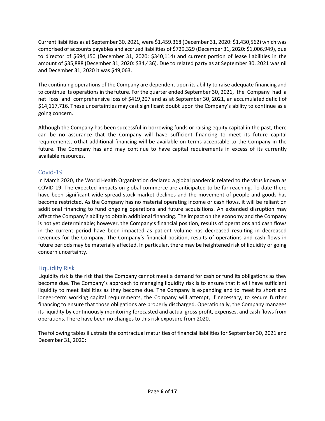Current liabilities as at September 30, 2021, were \$1,459.368 (December 31, 2020: \$1,430,562) which was comprised of accounts payables and accrued liabilities of \$729,329 (December 31, 2020: \$1,006,949), due to director of \$694,150 (December 31, 2020: \$340,114) and current portion of lease liabilities in the amount of \$35,888 (December 31, 2020: \$34,436). Due to related party as at September 30, 2021 was nil and December 31, 2020 it was \$49,063.

The continuing operations of the Company are dependent upon its ability to raise adequate financing and to continue its operations in the future. For the quarter ended September 30, 2021, the Company had a net loss and comprehensive loss of \$419,207 and as at September 30, 2021, an accumulated deficit of \$14,117,716. These uncertainties may cast significant doubt upon the Company's ability to continue as a going concern.

Although the Company has been successful in borrowing funds or raising equity capital in the past, there can be no assurance that the Company will have sufficient financing to meet its future capital requirements, orthat additional financing will be available on terms acceptable to the Company in the future. The Company has and may continue to have capital requirements in excess of its currently available resources.

# Covid-19

In March 2020, the World Health Organization declared a global pandemic related to the virus known as COVID-19. The expected impacts on global commerce are anticipated to be far reaching. To date there have been significant wide-spread stock market declines and the movement of people and goods has become restricted. As the Company has no material operating income or cash flows, it will be reliant on additional financing to fund ongoing operations and future acquisitions. An extended disruption may affect the Company's ability to obtain additional financing. The impact on the economy and the Company is not yet determinable; however, the Company's financial position, results of operations and cash flows in the current period have been impacted as patient volume has decreased resulting in decreased revenues for the Company. The Company's financial position, results of operations and cash flows in future periods may be materially affected. In particular, there may be heightened risk of liquidity or going concern uncertainty.

# Liquidity Risk

Liquidity risk is the risk that the Company cannot meet a demand for cash or fund its obligations as they become due. The Company's approach to managing liquidity risk is to ensure that it will have sufficient liquidity to meet liabilities as they become due. The Company is expanding and to meet its short and longer-term working capital requirements, the Company will attempt, if necessary, to secure further financing to ensure that those obligations are properly discharged. Operationally, the Company manages its liquidity by continuously monitoring forecasted and actual gross profit, expenses, and cash flows from operations. There have been no changes to this risk exposure from 2020.

The following tables illustrate the contractual maturities of financial liabilities for September 30, 2021 and December 31, 2020: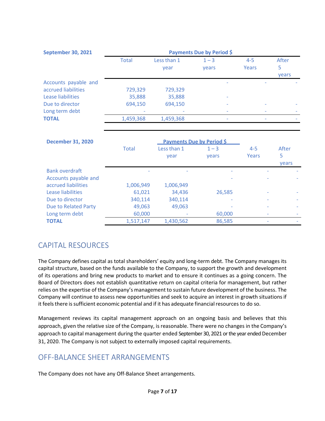| Total     | Less than 1 | $1 - 3$                  | $4 - 5$ | After                     |
|-----------|-------------|--------------------------|---------|---------------------------|
|           | year        | vears                    | Years   | 5                         |
|           |             |                          |         | years                     |
|           |             | ۰                        |         |                           |
| 729,329   | 729,329     |                          |         |                           |
| 35,888    | 35,888      | $\overline{\phantom{a}}$ |         |                           |
| 694,150   | 694,150     | $\overline{\phantom{a}}$ |         |                           |
| ٠         |             | ۰                        |         |                           |
| 1,459,368 | 1,459,368   | ٠                        |         |                           |
|           |             |                          |         | Payments Due by Period \$ |

| <b>December 31, 2020</b> |              | <b>Payments Due by Period \$</b> |                  |                  |                            |
|--------------------------|--------------|----------------------------------|------------------|------------------|----------------------------|
|                          | <b>Total</b> | Less than 1<br>year              | $1 - 3$<br>years | $4 - 5$<br>Years | After<br>5<br><b>vears</b> |
| <b>Bank overdraft</b>    |              |                                  |                  |                  |                            |
| Accounts payable and     |              |                                  |                  |                  |                            |
| accrued liabilities      | 1,006,949    | 1,006,949                        |                  |                  |                            |
| Lease liabilities        | 61,021       | 34,436                           | 26,585           |                  |                            |
| Due to director          | 340,114      | 340,114                          |                  |                  |                            |
| Due to Related Party     | 49,063       | 49,063                           |                  |                  |                            |
| Long term debt           | 60,000       |                                  | 60,000           |                  |                            |
| <b>TOTAL</b>             | 1,517,147    | 1,430,562                        | 86,585           |                  |                            |

# CAPITAL RESOURCES

The Company defines capital as total shareholders' equity and long-term debt. The Company manages its capital structure, based on the funds available to the Company, to support the growth and development of its operations and bring new products to market and to ensure it continues as a going concern. The Board of Directors does not establish quantitative return on capital criteria for management, but rather relies on the expertise of the Company's management to sustain future development of the business. The Company will continue to assess new opportunities and seek to acquire an interest in growth situationsif it feels there is sufficient economic potential and if it has adequate financial resources to do so.

Management reviews its capital management approach on an ongoing basis and believes that this approach, given the relative size of the Company, is reasonable. There were no changes in the Company's approach to capital management during the quarter ended September 30, 2021 or the year ended December 31, 2020. The Company is not subject to externally imposed capital requirements.

# OFF-BALANCE SHEET ARRANGEMENTS

The Company does not have any Off-Balance Sheet arrangements.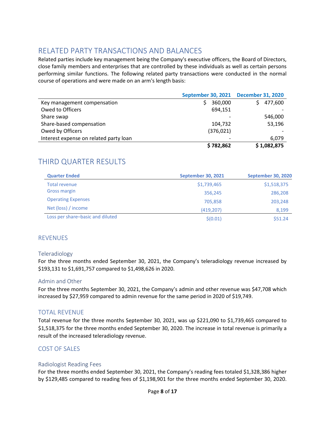# RELATED PARTY TRANSACTIONS AND BALANCES

Related parties include key management being the Company's executive officers, the Board of Directors, close family members and enterprises that are controlled by these individuals as well as certain persons performing similar functions. The following related party transactions were conducted in the normal course of operations and were made on an arm's length basis:

|                                        | September 30, 2021 December 31, 2020 |             |
|----------------------------------------|--------------------------------------|-------------|
| Key management compensation            | 360,000                              | 477,600     |
| Owed to Officers                       | 694,151                              |             |
| Share swap                             |                                      | 546,000     |
| Share-based compensation               | 104,732                              | 53,196      |
| Owed by Officers                       | (376, 021)                           |             |
| Interest expense on related party loan |                                      | 6,079       |
|                                        | \$782,862                            | \$1,082,875 |

# THIRD QUARTER RESULTS

| <b>Quarter Ended</b>             | <b>September 30, 2021</b> | <b>September 30, 2020</b> |
|----------------------------------|---------------------------|---------------------------|
| <b>Total revenue</b>             | \$1,739,465               | \$1,518,375               |
| <b>Gross margin</b>              | 356,245                   | 286,208                   |
| <b>Operating Expenses</b>        | 705.858                   | 203,248                   |
| Net (loss) / income              | (419, 207)                | 8,199                     |
| Loss per share-basic and diluted | \$(0.01)                  | \$51.24                   |

# **REVENUES**

#### Teleradiology

For the three months ended September 30, 2021, the Company's teleradiology revenue increased by \$193,131 to \$1,691,757 compared to \$1,498,626 in 2020.

#### Admin and Other

For the three months September 30, 2021, the Company's admin and other revenue was \$47,708 which increased by \$27,959 compared to admin revenue for the same period in 2020 of \$19,749.

#### TOTAL REVENUE

Total revenue for the three months September 30, 2021, was up \$221,090 to \$1,739,465 compared to \$1,518,375 for the three months ended September 30, 2020. The increase in total revenue is primarily a result of the increased teleradiology revenue.

#### COST OF SALES

#### Radiologist Reading Fees

For the three months ended September 30, 2021, the Company's reading fees totaled \$1,328,386 higher by \$129,485 compared to reading fees of \$1,198,901 for the three months ended September 30, 2020.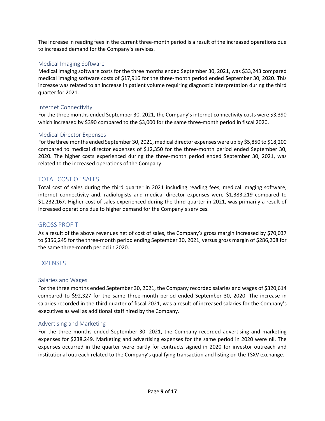The increase in reading fees in the current three-month period is a result of the increased operations due to increased demand for the Company's services.

#### Medical Imaging Software

Medical imaging software costs for the three months ended September 30, 2021, was \$33,243 compared medical imaging software costs of \$17,916 for the three-month period ended September 30, 2020. This increase was related to an increase in patient volume requiring diagnostic interpretation during the third quarter for 2021.

#### Internet Connectivity

For the three months ended September 30, 2021, the Company's internet connectivity costs were \$3,390 which increased by \$390 compared to the \$3,000 for the same three-month period in fiscal 2020.

### Medical Director Expenses

For the three months ended September 30, 2021, medical director expenses were up by \$5,850 to \$18,200 compared to medical director expenses of \$12,350 for the three-month period ended September 30, 2020. The higher costs experienced during the three-month period ended September 30, 2021, was related to the increased operations of the Company.

# TOTAL COST OF SALES

Total cost of sales during the third quarter in 2021 including reading fees, medical imaging software, internet connectivity and, radiologists and medical director expenses were \$1,383,219 compared to \$1,232,167. Higher cost of sales experienced during the third quarter in 2021, was primarily a result of increased operations due to higher demand for the Company's services.

# GROSS PROFIT

As a result of the above revenues net of cost of sales, the Company's gross margin increased by \$70,037 to \$356,245 for the three-month period ending September 30, 2021, versus gross margin of \$286,208 for the same three-month period in 2020.

# EXPENSES

#### Salaries and Wages

For the three months ended September 30, 2021, the Company recorded salaries and wages of \$320,614 compared to \$92,327 for the same three-month period ended September 30, 2020. The increase in salaries recorded in the third quarter of fiscal 2021, was a result of increased salaries for the Company's executives as well as additional staff hired by the Company.

#### Advertising and Marketing

For the three months ended September 30, 2021, the Company recorded advertising and marketing expenses for \$238,249. Marketing and advertising expenses for the same period in 2020 were nil. The expenses occurred in the quarter were partly for contracts signed in 2020 for investor outreach and institutional outreach related to the Company's qualifying transaction and listing on the TSXV exchange.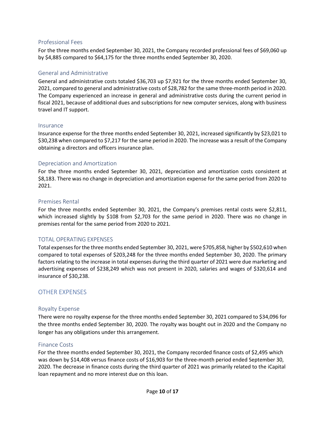#### Professional Fees

For the three months ended September 30, 2021, the Company recorded professional fees of \$69,060 up by \$4,885 compared to \$64,175 for the three months ended September 30, 2020.

#### General and Administrative

General and administrative costs totaled \$36,703 up \$7,921 for the three months ended September 30, 2021, compared to general and administrative costs of \$28,782 for the same three-month period in 2020. The Company experienced an increase in general and administrative costs during the current period in fiscal 2021, because of additional dues and subscriptions for new computer services, along with business travel and IT support.

#### Insurance

Insurance expense for the three months ended September 30, 2021, increased significantly by \$23,021 to \$30,238 when compared to \$7,217 for the same period in 2020. The increase was a result of the Company obtaining a directors and officers insurance plan.

#### Depreciation and Amortization

For the three months ended September 30, 2021, depreciation and amortization costs consistent at \$8,183. There was no change in depreciation and amortization expense for the same period from 2020 to 2021.

#### Premises Rental

For the three months ended September 30, 2021, the Company's premises rental costs were \$2,811, which increased slightly by \$108 from \$2,703 for the same period in 2020. There was no change in premises rental for the same period from 2020 to 2021.

#### TOTAL OPERATING EXPENSES

Total expensesforthe three months ended September 30, 2021, were \$705,858, higher by \$502,610 when compared to total expenses of \$203,248 for the three months ended September 30, 2020. The primary factors relating to the increase in total expenses during the third quarter of 2021 were due marketing and advertising expenses of \$238,249 which was not present in 2020, salaries and wages of \$320,614 and insurance of \$30,238.

#### OTHER EXPENSES

#### Royalty Expense

There were no royalty expense for the three months ended September 30, 2021 compared to \$34,096 for the three months ended September 30, 2020. The royalty was bought out in 2020 and the Company no longer has any obligations under this arrangement.

#### Finance Costs

For the three months ended September 30, 2021, the Company recorded finance costs of \$2,495 which was down by \$14,408 versus finance costs of \$16,903 for the three-month period ended September 30, 2020. The decrease in finance costs during the third quarter of 2021 was primarily related to the iCapital loan repayment and no more interest due on this loan.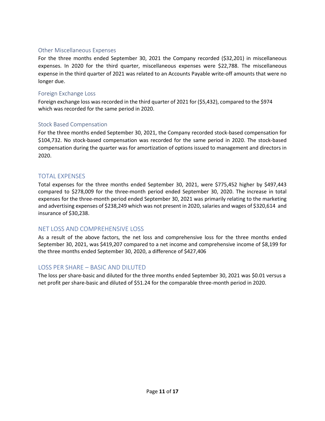#### Other Miscellaneous Expenses

For the three months ended September 30, 2021 the Company recorded (\$32,201) in miscellaneous expenses. In 2020 for the third quarter, miscellaneous expenses were \$22,788. The miscellaneous expense in the third quarter of 2021 was related to an Accounts Payable write-off amounts that were no longer due.

#### Foreign Exchange Loss

Foreign exchange loss was recorded in the third quarter of 2021 for (\$5,432), compared to the \$974 which was recorded for the same period in 2020.

#### Stock Based Compensation

For the three months ended September 30, 2021, the Company recorded stock-based compensation for \$104,732. No stock-based compensation was recorded for the same period in 2020. The stock-based compensation during the quarter was for amortization of options issued to management and directors in 2020.

#### TOTAL EXPENSES

Total expenses for the three months ended September 30, 2021, were \$775,452 higher by \$497,443 compared to \$278,009 for the three-month period ended September 30, 2020. The increase in total expenses for the three-month period ended September 30, 2021 was primarily relating to the marketing and advertising expenses of \$238,249 which was not present in 2020, salaries and wages of \$320,614 and insurance of \$30,238.

#### NET LOSS AND COMPREHENSIVE LOSS

As a result of the above factors, the net loss and comprehensive loss for the three months ended September 30, 2021, was \$419,207 compared to a net income and comprehensive income of \$8,199 for the three months ended September 30, 2020, a difference of \$427,406

#### LOSS PER SHARE – BASIC AND DILUTED

The loss per share-basic and diluted for the three months ended September 30, 2021 was \$0.01 versus a net profit per share-basic and diluted of \$51.24 for the comparable three-month period in 2020.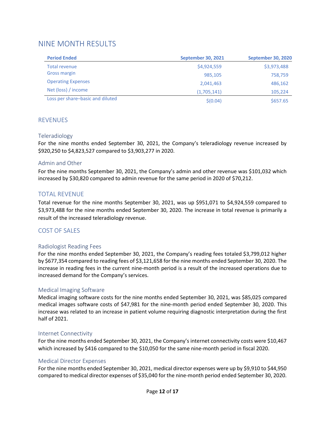# NINE MONTH RESULTS

| <b>Period Ended</b>              | <b>September 30, 2021</b> | September 30, 2020 |
|----------------------------------|---------------------------|--------------------|
| <b>Total revenue</b>             | \$4,924,559               | \$3,973,488        |
| <b>Gross margin</b>              | 985,105                   | 758,759            |
| <b>Operating Expenses</b>        | 2,041,463                 | 486,162            |
| Net (loss) / income              | (1,705,141)               | 105,224            |
| Loss per share-basic and diluted | \$(0.04)                  | \$657.65           |

### **REVENUES**

#### Teleradiology

For the nine months ended September 30, 2021, the Company's teleradiology revenue increased by \$920,250 to \$4,823,527 compared to \$3,903,277 in 2020.

#### Admin and Other

For the nine months September 30, 2021, the Company's admin and other revenue was \$101,032 which increased by \$30,820 compared to admin revenue for the same period in 2020 of \$70,212.

# TOTAL REVENUE

Total revenue for the nine months September 30, 2021, was up \$951,071 to \$4,924,559 compared to \$3,973,488 for the nine months ended September 30, 2020. The increase in total revenue is primarily a result of the increased teleradiology revenue.

# COST OF SALES

#### Radiologist Reading Fees

For the nine months ended September 30, 2021, the Company's reading fees totaled \$3,799,012 higher by \$677,354 compared to reading fees of \$3,121,658 for the nine months ended September 30, 2020. The increase in reading fees in the current nine-month period is a result of the increased operations due to increased demand for the Company's services.

#### Medical Imaging Software

Medical imaging software costs for the nine months ended September 30, 2021, was \$85,025 compared medical images software costs of \$47,981 for the nine-month period ended September 30, 2020. This increase was related to an increase in patient volume requiring diagnostic interpretation during the first half of 2021.

#### Internet Connectivity

For the nine months ended September 30, 2021, the Company's internet connectivity costs were \$10,467 which increased by \$416 compared to the \$10,050 for the same nine-month period in fiscal 2020.

#### Medical Director Expenses

For the nine months ended September 30, 2021, medical director expenses were up by \$9,910 to \$44,950 compared to medical director expenses of \$35,040 for the nine-month period ended September 30, 2020.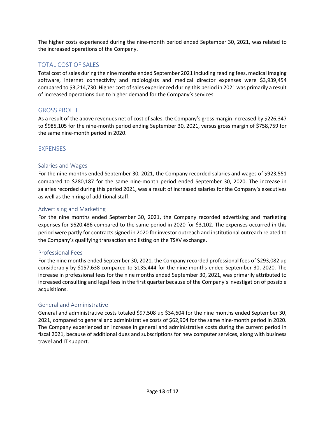The higher costs experienced during the nine-month period ended September 30, 2021, was related to the increased operations of the Company.

# TOTAL COST OF SALES

Total cost of sales during the nine months ended September 2021 including reading fees, medical imaging software, internet connectivity and radiologists and medical director expenses were \$3,939,454 compared to \$3,214,730. Higher cost of sales experienced during this period in 2021 was primarily a result of increased operations due to higher demand for the Company's services.

# GROSS PROFIT

As a result of the above revenues net of cost of sales, the Company's gross margin increased by \$226,347 to \$985,105 for the nine-month period ending September 30, 2021, versus gross margin of \$758,759 for the same nine-month period in 2020.

# EXPENSES

#### Salaries and Wages

For the nine months ended September 30, 2021, the Company recorded salaries and wages of \$923,551 compared to \$280,187 for the same nine-month period ended September 30, 2020. The increase in salaries recorded during this period 2021, was a result of increased salaries for the Company's executives as well as the hiring of additional staff.

#### Advertising and Marketing

For the nine months ended September 30, 2021, the Company recorded advertising and marketing expenses for \$620,486 compared to the same period in 2020 for \$3,102. The expenses occurred in this period were partly for contracts signed in 2020 for investor outreach and institutional outreach related to the Company's qualifying transaction and listing on the TSXV exchange.

#### Professional Fees

For the nine months ended September 30, 2021, the Company recorded professional fees of \$293,082 up considerably by \$157,638 compared to \$135,444 for the nine months ended September 30, 2020. The increase in professional fees for the nine months ended September 30, 2021, was primarily attributed to increased consulting and legal fees in the first quarter because of the Company's investigation of possible acquisitions.

#### General and Administrative

General and administrative costs totaled \$97,508 up \$34,604 for the nine months ended September 30, 2021, compared to general and administrative costs of \$62,904 for the same nine-month period in 2020. The Company experienced an increase in general and administrative costs during the current period in fiscal 2021, because of additional dues and subscriptions for new computer services, along with business travel and IT support.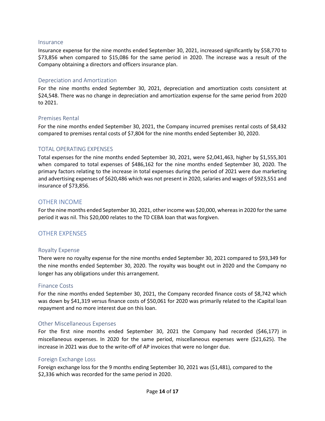#### Insurance

Insurance expense for the nine months ended September 30, 2021, increased significantly by \$58,770 to \$73,856 when compared to \$15,086 for the same period in 2020. The increase was a result of the Company obtaining a directors and officers insurance plan.

#### Depreciation and Amortization

For the nine months ended September 30, 2021, depreciation and amortization costs consistent at \$24,548. There was no change in depreciation and amortization expense for the same period from 2020 to 2021.

#### Premises Rental

For the nine months ended September 30, 2021, the Company incurred premises rental costs of \$8,432 compared to premises rental costs of \$7,804 for the nine months ended September 30, 2020.

#### TOTAL OPERATING EXPENSES

Total expenses for the nine months ended September 30, 2021, were \$2,041,463, higher by \$1,555,301 when compared to total expenses of \$486,162 for the nine months ended September 30, 2020. The primary factors relating to the increase in total expenses during the period of 2021 were due marketing and advertising expenses of \$620,486 which was not present in 2020, salaries and wages of \$923,551 and insurance of \$73,856.

#### OTHER INCOME

For the nine months ended September 30, 2021, other income was \$20,000, whereas in 2020 for the same period it was nil. This \$20,000 relates to the TD CEBA loan that was forgiven.

#### OTHER EXPENSES

#### Royalty Expense

There were no royalty expense for the nine months ended September 30, 2021 compared to \$93,349 for the nine months ended September 30, 2020. The royalty was bought out in 2020 and the Company no longer has any obligations under this arrangement.

#### Finance Costs

For the nine months ended September 30, 2021, the Company recorded finance costs of \$8,742 which was down by \$41,319 versus finance costs of \$50,061 for 2020 was primarily related to the iCapital loan repayment and no more interest due on this loan.

#### Other Miscellaneous Expenses

For the first nine months ended September 30, 2021 the Company had recorded (\$46,177) in miscellaneous expenses. In 2020 for the same period, miscellaneous expenses were (\$21,625). The increase in 2021 was due to the write-off of AP invoices that were no longer due.

#### Foreign Exchange Loss

Foreign exchange loss for the 9 months ending September 30, 2021 was (\$1,481), compared to the \$2,336 which was recorded for the same period in 2020.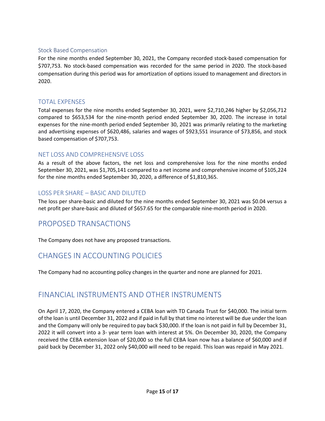#### Stock Based Compensation

For the nine months ended September 30, 2021, the Company recorded stock-based compensation for \$707,753. No stock-based compensation was recorded for the same period in 2020. The stock-based compensation during this period was for amortization of options issued to management and directors in 2020.

#### TOTAL EXPENSES

Total expenses for the nine months ended September 30, 2021, were \$2,710,246 higher by \$2,056,712 compared to \$653,534 for the nine-month period ended September 30, 2020. The increase in total expenses for the nine-month period ended September 30, 2021 was primarily relating to the marketing and advertising expenses of \$620,486, salaries and wages of \$923,551 insurance of \$73,856, and stock based compensation of \$707,753.

### NET LOSS AND COMPREHENSIVE LOSS

As a result of the above factors, the net loss and comprehensive loss for the nine months ended September 30, 2021, was \$1,705,141 compared to a net income and comprehensive income of \$105,224 for the nine months ended September 30, 2020, a difference of \$1,810,365.

# LOSS PER SHARE – BASIC AND DILUTED

The loss per share-basic and diluted for the nine months ended September 30, 2021 was \$0.04 versus a net profit per share-basic and diluted of \$657.65 for the comparable nine-month period in 2020.

# PROPOSED TRANSACTIONS

The Company does not have any proposed transactions.

# CHANGES IN ACCOUNTING POLICIES

The Company had no accounting policy changes in the quarter and none are planned for 2021.

# FINANCIAL INSTRUMENTS AND OTHER INSTRUMENTS

On April 17, 2020, the Company entered a CEBA loan with TD Canada Trust for \$40,000. The initial term of the loan is until December 31, 2022 and if paid in full by that time no interest will be due under the loan and the Company will only be required to pay back \$30,000. If the loan is not paid in full by December 31, 2022 it will convert into a 3- year term loan with interest at 5%. On December 30, 2020, the Company received the CEBA extension loan of \$20,000 so the full CEBA loan now has a balance of \$60,000 and if paid back by December 31, 2022 only \$40,000 will need to be repaid. This loan was repaid in May 2021.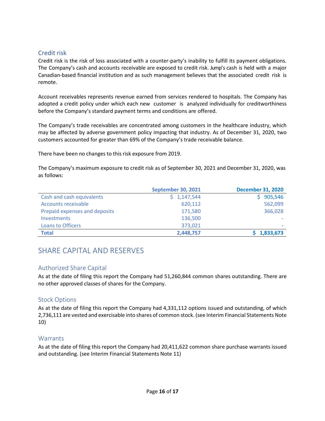# Credit risk

Credit risk is the risk of loss associated with a counter-party's inability to fulfill its payment obligations. The Company's cash and accounts receivable are exposed to credit risk. Jump's cash is held with a major Canadian-based financial institution and as such management believes that the associated credit risk is remote.

Account receivables represents revenue earned from services rendered to hospitals. The Company has adopted a credit policy under which each new customer is analyzed individually for creditworthiness before the Company's standard payment terms and conditions are offered.

The Company's trade receivables are concentrated among customers in the healthcare industry, which may be affected by adverse government policy impacting that industry. As of December 31, 2020, two customers accounted for greater than 69% of the Company's trade receivable balance.

There have been no changes to this risk exposure from 2019.

The Company's maximum exposure to credit risk as of September 30, 2021 and December 31, 2020, was as follows:

|                               | <b>September 30, 2021</b> | <b>December 31, 2020</b> |
|-------------------------------|---------------------------|--------------------------|
| Cash and cash equivalents     | \$1,147,544               | 905,546                  |
| <b>Accounts receivable</b>    | 620,112                   | 562,099                  |
| Prepaid expenses and deposits | 171,580                   | 366,028                  |
| <b>Investments</b>            | 136,500                   |                          |
| Loans to Officers             | 373,021                   | $\overline{\phantom{a}}$ |
| <b>Total</b>                  | 2,448,757                 | \$1,833,673              |

# SHARE CAPITAL AND RESERVES

# Authorized Share Capital

As at the date of filing this report the Company had 51,260,844 common shares outstanding. There are no other approved classes of shares for the Company.

# Stock Options

As at the date of filing this report the Company had 4,331,112 options issued and outstanding, of which 2,736,111 are vested and exercisable into shares of common stock. (see Interim Financial Statements Note 10)

# **Warrants**

As at the date of filing this report the Company had 20,411,622 common share purchase warrants issued and outstanding. (see Interim Financial Statements Note 11)